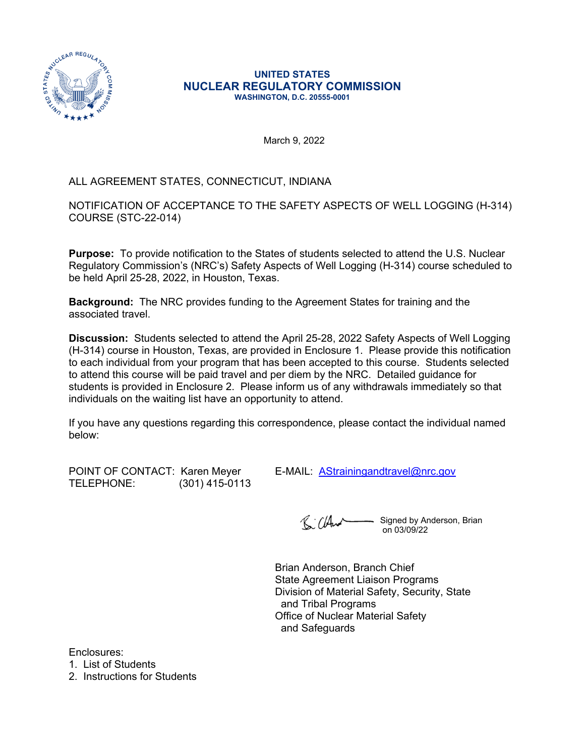

#### **UNITED STATES NUCLEAR REGULATORY COMMISSION WASHINGTON, D.C. 20555-0001**

March 9, 2022

# ALL AGREEMENT STATES, CONNECTICUT, INDIANA

NOTIFICATION OF ACCEPTANCE TO THE SAFETY ASPECTS OF WELL LOGGING (H-314) COURSE (STC-22-014)

**Purpose:** To provide notification to the States of students selected to attend the U.S. Nuclear Regulatory Commission's (NRC's) Safety Aspects of Well Logging (H-314) course scheduled to be held April 25-28, 2022, in Houston, Texas.

**Background:** The NRC provides funding to the Agreement States for training and the associated travel.

**Discussion:** Students selected to attend the April 25-28, 2022 Safety Aspects of Well Logging (H-314) course in Houston, Texas, are provided in Enclosure 1. Please provide this notification to each individual from your program that has been accepted to this course. Students selected to attend this course will be paid travel and per diem by the NRC. Detailed guidance for students is provided in Enclosure 2. Please inform us of any withdrawals immediately so that individuals on the waiting list have an opportunity to attend.

If you have any questions regarding this correspondence, please contact the individual named below:

POINT OF CONTACT: Karen Meyer E-MAIL: **[AStrainingandtravel@nrc.gov](mailto:AStrainingandtravel@nrc.gov)**<br>TELEPHONE: (301) 415-0113 (301) 415-0113

R: ClAnd Signed by Anderson, Brian on 03/09/22

Brian Anderson, Branch Chief State Agreement Liaison Programs Division of Material Safety, Security, State and Tribal Programs Office of Nuclear Material Safety and Safeguards

Enclosures:

1. List of Students

2. Instructions for Students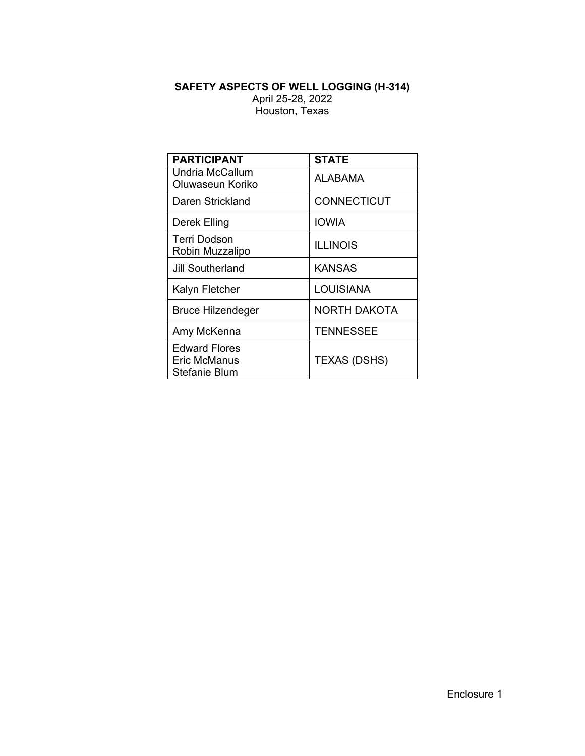### **SAFETY ASPECTS OF WELL LOGGING (H-314)** April 25-28, 2022 Houston, Texas

| <b>PARTICIPANT</b>       | <b>STATE</b>        |  |  |
|--------------------------|---------------------|--|--|
| <b>Undria McCallum</b>   | ALABAMA             |  |  |
| Oluwaseun Koriko         |                     |  |  |
| Daren Strickland         | <b>CONNECTICUT</b>  |  |  |
| Derek Elling             | IOWIA               |  |  |
| Terri Dodson             | <b>ILLINOIS</b>     |  |  |
| Robin Muzzalipo          |                     |  |  |
| <b>Jill Southerland</b>  | KANSAS              |  |  |
| Kalyn Fletcher           | LOUISIANA           |  |  |
| <b>Bruce Hilzendeger</b> | <b>NORTH DAKOTA</b> |  |  |
| Amy McKenna              | <b>TENNESSEE</b>    |  |  |
| <b>Edward Flores</b>     |                     |  |  |
| Eric McManus             | <b>TEXAS (DSHS)</b> |  |  |
| Stefanie Blum            |                     |  |  |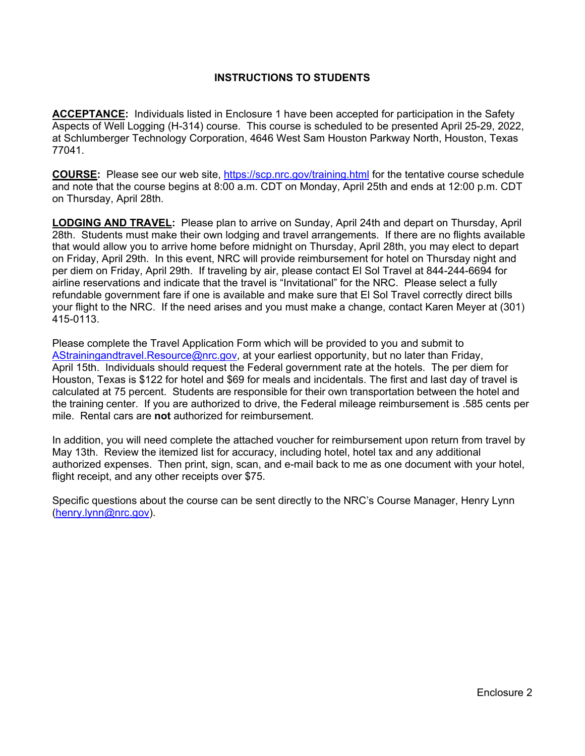### **INSTRUCTIONS TO STUDENTS**

**ACCEPTANCE:** Individuals listed in Enclosure 1 have been accepted for participation in the Safety Aspects of Well Logging (H-314) course. This course is scheduled to be presented April 25-29, 2022, at Schlumberger Technology Corporation, 4646 West Sam Houston Parkway North, Houston, Texas 77041.

**COURSE:** Please see our web site,<https://scp.nrc.gov/training.html>for the tentative course schedule and note that the course begins at 8:00 a.m. CDT on Monday, April 25th and ends at 12:00 p.m. CDT on Thursday, April 28th.

**LODGING AND TRAVEL:** Please plan to arrive on Sunday, April 24th and depart on Thursday, April 28th. Students must make their own lodging and travel arrangements. If there are no flights available that would allow you to arrive home before midnight on Thursday, April 28th, you may elect to depart on Friday, April 29th. In this event, NRC will provide reimbursement for hotel on Thursday night and per diem on Friday, April 29th. If traveling by air, please contact El Sol Travel at 844-244-6694 for airline reservations and indicate that the travel is "Invitational" for the NRC. Please select a fully refundable government fare if one is available and make sure that El Sol Travel correctly direct bills your flight to the NRC. If the need arises and you must make a change, contact Karen Meyer at (301) 415-0113.

Please complete the Travel Application Form which will be provided to you and submit to [AStrainingandtravel.Resource@nrc.gov](mailto:AStrainingandtravel.Resource@nrc.gov), at your earliest opportunity, but no later than Friday, April 15th. Individuals should request the Federal government rate at the hotels. The per diem for Houston, Texas is \$122 for hotel and \$69 for meals and incidentals. The first and last day of travel is calculated at 75 percent. Students are responsible for their own transportation between the hotel and the training center. If you are authorized to drive, the Federal mileage reimbursement is .585 cents per mile. Rental cars are **not** authorized for reimbursement.

In addition, you will need complete the attached voucher for reimbursement upon return from travel by May 13th. Review the itemized list for accuracy, including hotel, hotel tax and any additional authorized expenses. Then print, sign, scan, and e-mail back to me as one document with your hotel, flight receipt, and any other receipts over \$75.

Specific questions about the course can be sent directly to the NRC's Course Manager, Henry Lynn [\(henry.lynn@nrc.gov](mailto:henry.lynn@nrc.gov)).